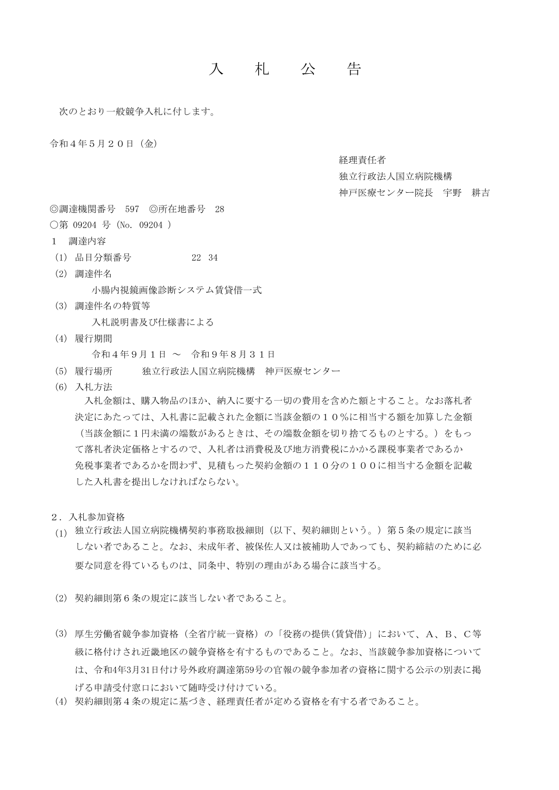## 入 札 公 告

次のとおり一般競争入札に付します。

令和4年5月20日(金)

経理責任者

独立行政法人国立病院機構

神戸医療センター院長 宇野 耕吉

◎調達機関番号 597 ◎所在地番号 28

〇第 09204 号(No. 09204 )

- 1 調達内容
- (1) 品目分類番号 22 34
- (2) 調達件名 小腸内視鏡画像診断システム賃貸借一式
- (3) 調達件名の特質等 入札説明書及び仕様書による
- (4) 履行期間

令和4年9月1日 ~ 令和9年8月31日

- (5) 履行場所 独立行政法人国立病院機構 神戸医療センター
- (6) 入札方法

 入札金額は、購入物品のほか、納入に要する一切の費用を含めた額とすること。なお落札者 決定にあたっては、入札書に記載された金額に当該金額の10%に相当する額を加算した金額 (当該金額に1円未満の端数があるときは、その端数金額を切り捨てるものとする。)をもっ て落札者決定価格とするので、入札者は消費税及び地方消費税にかかる課税事業者であるか 免税事業者であるかを問わず、見積もった契約金額の110分の100に相当する金額を記載 した入札書を提出しなければならない。

- 2.入札参加資格
- (1) 独立行政法人国立病院機構契約事務取扱細則(以下、契約細則という。)第5条の規定に該当 しない者であること。なお、未成年者、被保佐人又は被補助人であっても、契約締結のために必 要な同意を得ているものは、同条中、特別の理由がある場合に該当する。
- (2) 契約細則第6条の規定に該当しない者であること。
- (3) 厚生労働省競争参加資格(全省庁統一資格)の「役務の提供(賃貸借)」において、A、B、C等 級に格付けされ近畿地区の競争資格を有するものであること。なお、当該競争参加資格について は、令和4年3月31日付け号外政府調達第59号の官報の競争参加者の資格に関する公示の別表に掲 げる申請受付窓口において随時受け付けている。
- (4) 契約細則第4条の規定に基づき、経理責任者が定める資格を有する者であること。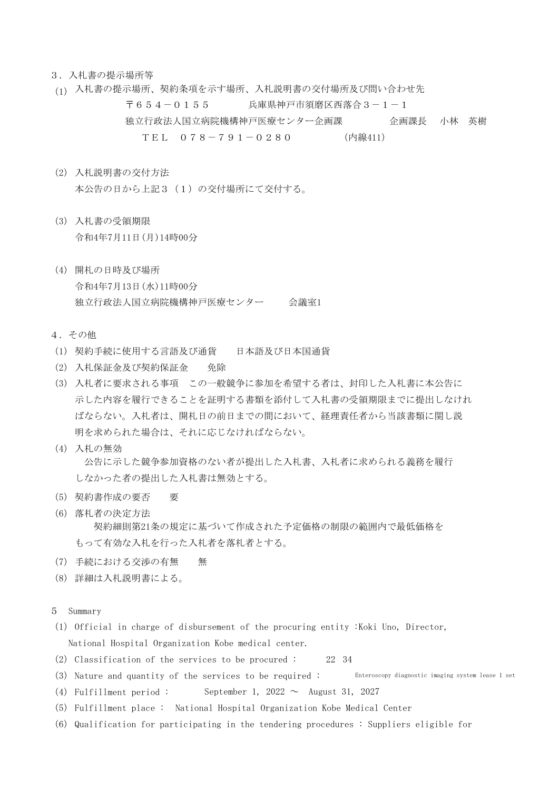## 3.入札書の提示場所等

- (1) 入札書の提示場所、契約条項を示す場所、入札説明書の交付場所及び問い合わせ先 〒654-0155 兵庫県神戸市須磨区西落合3-1-1 独立行政法人国立病院機構神戸医療センター企画課 企画課長 小林 英樹 TEL 078-791-0280 (内線411)
- (2) 入札説明書の交付方法 本公告の日から上記3(1)の交付場所にて交付する。
- (3) 入札書の受領期限 令和4年7月11日(月)14時00分
- (4) 開札の日時及び場所 令和4年7月13日(水)11時00分 独立行政法人国立病院機構神戸医療センター 会議室1
- 4.その他
- (1) 契約手続に使用する言語及び通貨 日本語及び日本国通貨
- (2) 入札保証金及び契約保証金 免除
- (3) 入札者に要求される事項 この一般競争に参加を希望する者は、封印した入札書に本公告に 示した内容を履行できることを証明する書類を添付して入札書の受領期限までに提出しなけれ ばならない。入札者は、開札日の前日までの間において、経理責任者から当該書類に関し説 明を求められた場合は、それに応じなければならない。
- (4) 入札の無効 公告に示した競争参加資格のない者が提出した入札書、入札者に求められる義務を履行 しなかった者の提出した入札書は無効とする。
- (5) 契約書作成の要否 要
- (6) 落札者の決定方法 契約細則第21条の規定に基づいて作成された予定価格の制限の範囲内で最低価格を もって有効な入札を行った入札者を落札者とする。
- (7) 手続における交渉の有無 無
- (8) 詳細は入札説明書による。
- 5 Summary
- (1) Official in charge of disbursement of the procuring entity :Koki Uno, Director, National Hospital Organization Kobe medical center.
- (2) Classification of the services to be procured : 22 34
- (3) Nature and quantity of the services to be required : Enteroscopy diagnostic imaging system lease 1 set
- (4) Fulfillment period : September 1, 2022  $\sim$  August 31, 2027
- (5) Fulfillment place : National Hospital Organization Kobe Medical Center
- (6) Qualification for participating in the tendering procedures : Suppliers eligible for